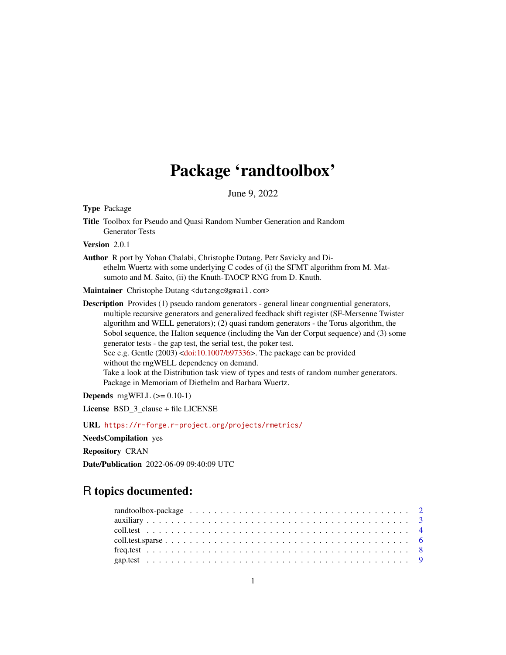# Package 'randtoolbox'

June 9, 2022

<span id="page-0-0"></span>Type Package

Title Toolbox for Pseudo and Quasi Random Number Generation and Random Generator Tests

Version 2.0.1

Author R port by Yohan Chalabi, Christophe Dutang, Petr Savicky and Diethelm Wuertz with some underlying C codes of (i) the SFMT algorithm from M. Matsumoto and M. Saito, (ii) the Knuth-TAOCP RNG from D. Knuth.

Maintainer Christophe Dutang <dutangc@gmail.com>

Description Provides (1) pseudo random generators - general linear congruential generators, multiple recursive generators and generalized feedback shift register (SF-Mersenne Twister algorithm and WELL generators); (2) quasi random generators - the Torus algorithm, the Sobol sequence, the Halton sequence (including the Van der Corput sequence) and (3) some generator tests - the gap test, the serial test, the poker test. See e.g. Gentle (2003) [<doi:10.1007/b97336>](https://doi.org/10.1007/b97336). The package can be provided without the rngWELL dependency on demand. Take a look at the Distribution task view of types and tests of random number generators. Package in Memoriam of Diethelm and Barbara Wuertz.

**Depends** rngWELL  $(>= 0.10-1)$ 

License BSD\_3\_clause + file LICENSE

URL <https://r-forge.r-project.org/projects/rmetrics/>

NeedsCompilation yes

Repository CRAN

Date/Publication 2022-06-09 09:40:09 UTC

# R topics documented: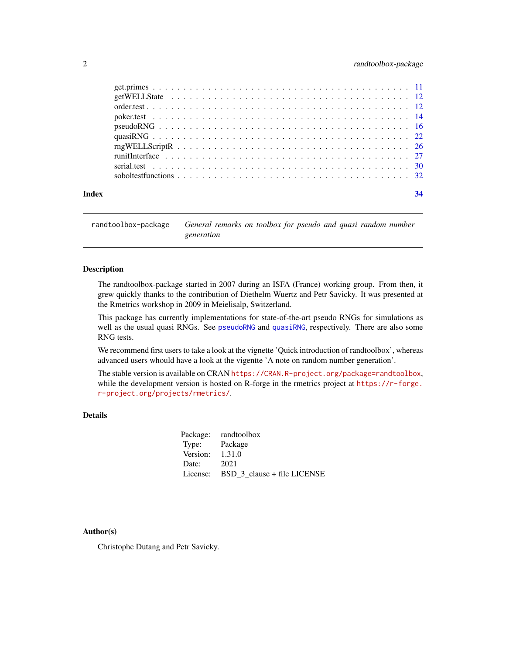<span id="page-1-0"></span>

| Index |                                                                                                                  |  |
|-------|------------------------------------------------------------------------------------------------------------------|--|
|       | soboltest functions $\ldots \ldots \ldots \ldots \ldots \ldots \ldots \ldots \ldots \ldots \ldots \ldots \ldots$ |  |
|       |                                                                                                                  |  |
|       |                                                                                                                  |  |
|       |                                                                                                                  |  |
|       |                                                                                                                  |  |
|       |                                                                                                                  |  |
|       |                                                                                                                  |  |
|       |                                                                                                                  |  |
|       |                                                                                                                  |  |
|       |                                                                                                                  |  |

randtoolbox-package *General remarks on toolbox for pseudo and quasi random number generation*

# Description

The randtoolbox-package started in 2007 during an ISFA (France) working group. From then, it grew quickly thanks to the contribution of Diethelm Wuertz and Petr Savicky. It was presented at the Rmetrics workshop in 2009 in Meielisalp, Switzerland.

This package has currently implementations for state-of-the-art pseudo RNGs for simulations as well as the usual quasi RNGs. See [pseudoRNG](#page-15-1) and [quasiRNG](#page-21-1), respectively. There are also some RNG tests.

We recommend first users to take a look at the vignette 'Quick introduction of randtoolbox', whereas advanced users whould have a look at the vigentte 'A note on random number generation'.

The stable version is available on CRAN <https://CRAN.R-project.org/package=randtoolbox>, while the development version is hosted on R-forge in the rmetrics project at [https://r-forge.](https://r-forge.r-project.org/projects/rmetrics/) [r-project.org/projects/rmetrics/](https://r-forge.r-project.org/projects/rmetrics/).

# Details

|                   | Package: randtoolbox                 |
|-------------------|--------------------------------------|
| Type: Package     |                                      |
| Version: $1.31.0$ |                                      |
| Date:             | 2021                                 |
|                   | License: BSD 3 clause + file LICENSE |

## Author(s)

Christophe Dutang and Petr Savicky.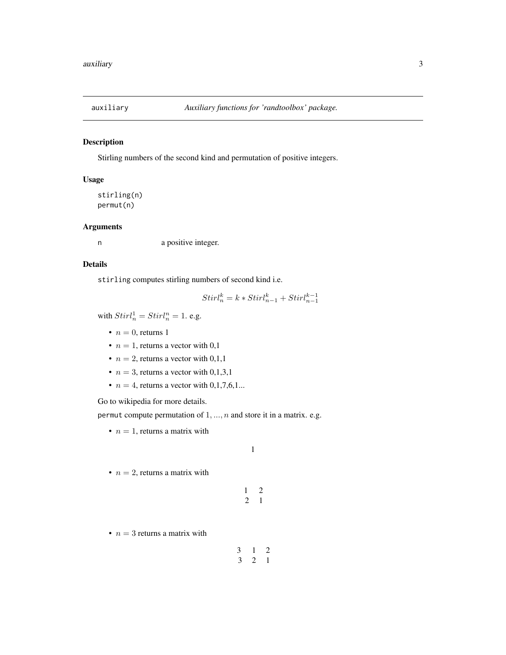<span id="page-2-0"></span>

# Description

Stirling numbers of the second kind and permutation of positive integers.

# Usage

stirling(n) permut(n)

# Arguments

n a positive integer.

# Details

stirling computes stirling numbers of second kind i.e.

$$
Stirl_n^k=k\ast Stirl_{n-1}^k+Stirl_{n-1}^{k-1}
$$

with  $Stirl_n^1 = Stirl_n^n = 1$ . e.g.

- $n = 0$ , returns 1
- $n = 1$ , returns a vector with 0,1
- $n = 2$ , returns a vector with 0,1,1
- $n = 3$ , returns a vector with 0,1,3,1
- $n = 4$ , returns a vector with 0,1,7,6,1...

Go to wikipedia for more details.

permut compute permutation of  $1, ..., n$  and store it in a matrix. e.g.

•  $n = 1$ , returns a matrix with

1

1 2 2 1

•  $n = 2$ , returns a matrix with

•  $n = 3$  returns a matrix with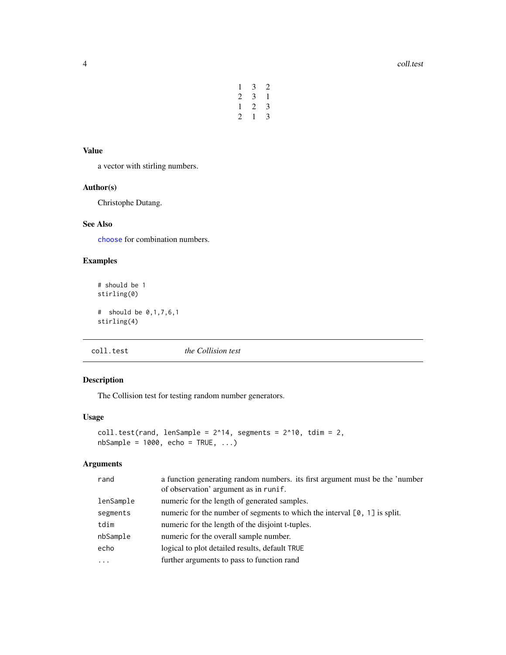| 1 | 3            | 2            |
|---|--------------|--------------|
| 2 | 3            | $\mathbf{1}$ |
| 1 | 2            | 3            |
| 2 | $\mathbf{1}$ | 3            |

#### <span id="page-3-0"></span>Value

a vector with stirling numbers.

# Author(s)

Christophe Dutang.

# See Also

[choose](#page-0-0) for combination numbers.

# Examples

```
# should be 1
stirling(0)
# should be 0,1,7,6,1
stirling(4)
```
<span id="page-3-1"></span>coll.test *the Collision test*

# Description

The Collision test for testing random number generators.

# Usage

```
coll.test(rand, lenSample = 2^14, segments = 2^10, tdim = 2,nbSample = 1000, echo = TRUE, ...)
```
# Arguments

| rand      | a function generating random numbers, its first argument must be the 'number<br>of observation' argument as in runif. |
|-----------|-----------------------------------------------------------------------------------------------------------------------|
| lenSample | numeric for the length of generated samples.                                                                          |
| segments  | numeric for the number of segments to which the interval $[0, 1]$ is split.                                           |
| tdim      | numeric for the length of the disjoint t-tuples.                                                                      |
| nbSample  | numeric for the overall sample number.                                                                                |
| echo      | logical to plot detailed results, default TRUE                                                                        |
| $\ddotsc$ | further arguments to pass to function rand                                                                            |
|           |                                                                                                                       |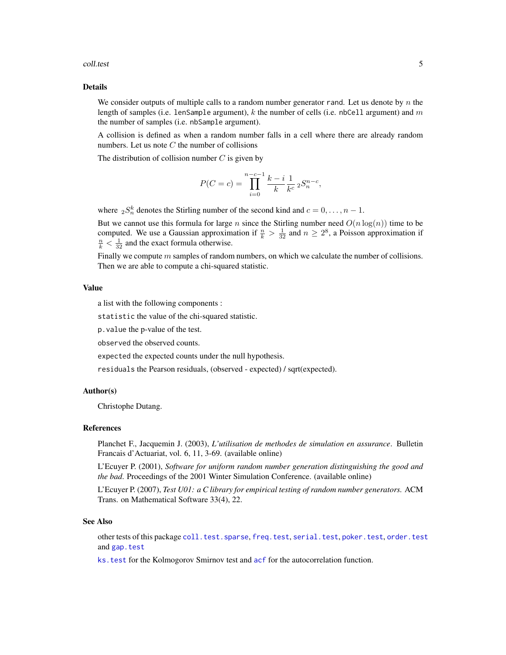#### <span id="page-4-0"></span>coll.test 5

# Details

We consider outputs of multiple calls to a random number generator rand. Let us denote by  $n$  the length of samples (i.e. lenSample argument), k the number of cells (i.e. nbCell argument) and  $m$ the number of samples (i.e. nbSample argument).

A collision is defined as when a random number falls in a cell where there are already random numbers. Let us note  $C$  the number of collisions

The distribution of collision number  $C$  is given by

$$
P(C = c) = \prod_{i=0}^{n-c-1} \frac{k-i}{k} \frac{1}{k^c} 2S_n^{n-c},
$$

where  ${}_{2}S_{n}^{k}$  denotes the Stirling number of the second kind and  $c = 0, \ldots, n - 1$ .

But we cannot use this formula for large n since the Stirling number need  $O(n \log(n))$  time to be computed. We use a Gaussian approximation if  $\frac{n}{k} > \frac{1}{32}$  and  $n \geq 2^8$ , a Poisson approximation if  $\frac{n}{k} < \frac{1}{32}$  and the exact formula otherwise.

Finally we compute  $m$  samples of random numbers, on which we calculate the number of collisions. Then we are able to compute a chi-squared statistic.

#### Value

a list with the following components :

statistic the value of the chi-squared statistic.

p.value the p-value of the test.

observed the observed counts.

expected the expected counts under the null hypothesis.

residuals the Pearson residuals, (observed - expected) / sqrt(expected).

#### Author(s)

Christophe Dutang.

#### References

Planchet F., Jacquemin J. (2003), *L'utilisation de methodes de simulation en assurance*. Bulletin Francais d'Actuariat, vol. 6, 11, 3-69. (available online)

L'Ecuyer P. (2001), *Software for uniform random number generation distinguishing the good and the bad*. Proceedings of the 2001 Winter Simulation Conference. (available online)

L'Ecuyer P. (2007), *Test U01: a C library for empirical testing of random number generators.* ACM Trans. on Mathematical Software 33(4), 22.

#### See Also

other tests of this package [coll.test.sparse](#page-5-1), [freq.test](#page-7-1), [serial.test](#page-29-1), [poker.test](#page-13-1), [order.test](#page-11-1) and [gap.test](#page-8-1)

ks. test for the Kolmogorov Smirnov test and [acf](#page-0-0) for the autocorrelation function.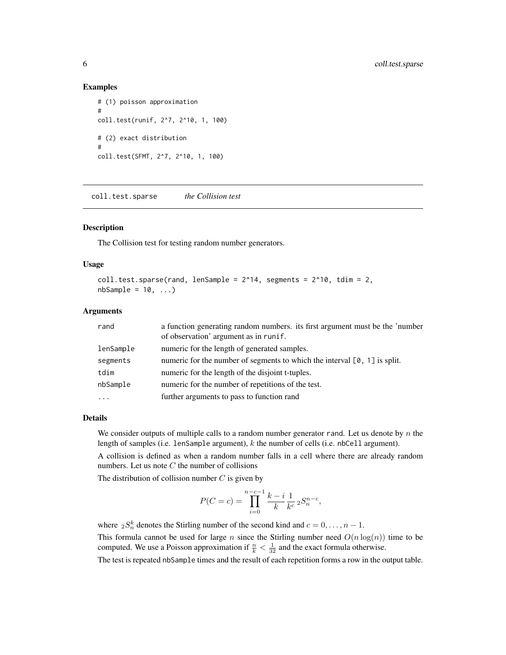#### Examples

```
# (1) poisson approximation
#
coll.test(runif, 2^7, 2^10, 1, 100)
# (2) exact distribution
#
coll.test(SFMT, 2^7, 2^10, 1, 100)
```
<span id="page-5-1"></span>coll.test.sparse *the Collision test*

# Description

The Collision test for testing random number generators.

### Usage

```
coll.test.\nsparse(rand, lenSample = 2^14, segments = 2^10, tdim = 2,nbSample = 10, ...
```
#### Arguments

| rand      | a function generating random numbers, its first argument must be the 'number |
|-----------|------------------------------------------------------------------------------|
|           | of observation' argument as in runif.                                        |
| lenSample | numeric for the length of generated samples.                                 |
| segments  | numeric for the number of segments to which the interval $[0, 1]$ is split.  |
| tdim      | numeric for the length of the disjoint t-tuples.                             |
| nbSample  | numeric for the number of repetitions of the test.                           |
| $\ddotsc$ | further arguments to pass to function rand                                   |

#### Details

We consider outputs of multiple calls to a random number generator rand. Let us denote by  $n$  the length of samples (i.e. lenSample argument), k the number of cells (i.e. nbCell argument).

A collision is defined as when a random number falls in a cell where there are already random numbers. Let us note  $C$  the number of collisions

The distribution of collision number  $C$  is given by

$$
P(C = c) = \prod_{i=0}^{n-c-1} \frac{k-i}{k} \frac{1}{k^c} 2S_n^{n-c},
$$

where  ${}_{2}S_{n}^{k}$  denotes the Stirling number of the second kind and  $c = 0, \ldots, n - 1$ .

This formula cannot be used for large n since the Stirling number need  $O(n \log(n))$  time to be computed. We use a Poisson approximation if  $\frac{n}{k} < \frac{1}{32}$  and the exact formula otherwise.

The test is repeated nbSample times and the result of each repetition forms a row in the output table.

<span id="page-5-0"></span>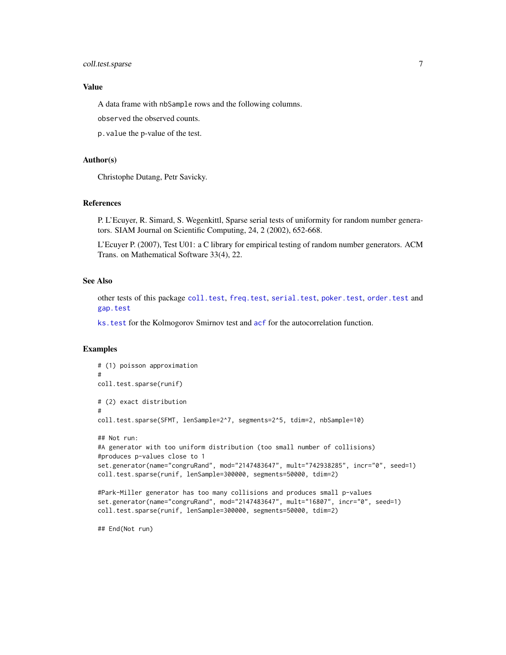# <span id="page-6-0"></span>coll.test.sparse 7

# Value

A data frame with nbSample rows and the following columns.

observed the observed counts.

p.value the p-value of the test.

# Author(s)

Christophe Dutang, Petr Savicky.

#### References

P. L'Ecuyer, R. Simard, S. Wegenkittl, Sparse serial tests of uniformity for random number generators. SIAM Journal on Scientific Computing, 24, 2 (2002), 652-668.

L'Ecuyer P. (2007), Test U01: a C library for empirical testing of random number generators. ACM Trans. on Mathematical Software 33(4), 22.

#### See Also

other tests of this package [coll.test](#page-3-1), [freq.test](#page-7-1), [serial.test](#page-29-1), [poker.test](#page-13-1), [order.test](#page-11-1) and [gap.test](#page-8-1)

[ks.test](#page-0-0) for the Kolmogorov Smirnov test and [acf](#page-0-0) for the autocorrelation function.

#### Examples

```
# (1) poisson approximation
#
coll.test.sparse(runif)
# (2) exact distribution
#
coll.test.sparse(SFMT, lenSample=2^7, segments=2^5, tdim=2, nbSample=10)
## Not run:
#A generator with too uniform distribution (too small number of collisions)
#produces p-values close to 1
set.generator(name="congruRand", mod="2147483647", mult="742938285", incr="0", seed=1)
coll.test.sparse(runif, lenSample=300000, segments=50000, tdim=2)
#Park-Miller generator has too many collisions and produces small p-values
set.generator(name="congruRand", mod="2147483647", mult="16807", incr="0", seed=1)
coll.test.sparse(runif, lenSample=300000, segments=50000, tdim=2)
```
## End(Not run)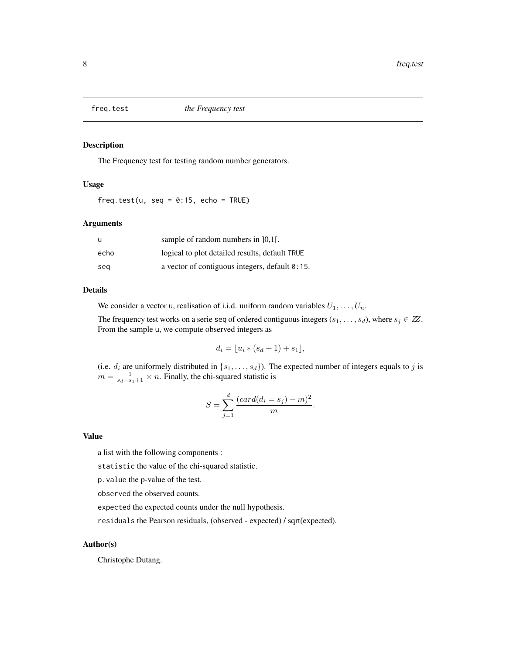<span id="page-7-1"></span><span id="page-7-0"></span>

# Description

The Frequency test for testing random number generators.

#### Usage

freq.test(u, seq =  $0:15$ , echo = TRUE)

#### Arguments

| u    | sample of random numbers in [0,1].                |
|------|---------------------------------------------------|
| echo | logical to plot detailed results, default TRUE    |
| sea  | a vector of contiguous integers, default $0:15$ . |

#### Details

We consider a vector u, realisation of i.i.d. uniform random variables  $U_1, \ldots, U_n$ .

The frequency test works on a serie seq of ordered contiguous integers  $(s_1, \ldots, s_d)$ , where  $s_j \in \mathbb{Z}$ . From the sample u, we compute observed integers as

$$
d_i = \lfloor u_i * (s_d + 1) + s_1 \rfloor,
$$

(i.e.  $d_i$  are uniformely distributed in  $\{s_1, \ldots, s_d\}$ ). The expected number of integers equals to j is  $m = \frac{1}{s_d - s_1 + 1} \times n$ . Finally, the chi-squared statistic is

$$
S = \sum_{j=1}^{d} \frac{(card(d_i = s_j) - m)^2}{m}.
$$

#### Value

a list with the following components :

statistic the value of the chi-squared statistic.

p.value the p-value of the test.

observed the observed counts.

expected the expected counts under the null hypothesis.

residuals the Pearson residuals, (observed - expected) / sqrt(expected).

# Author(s)

Christophe Dutang.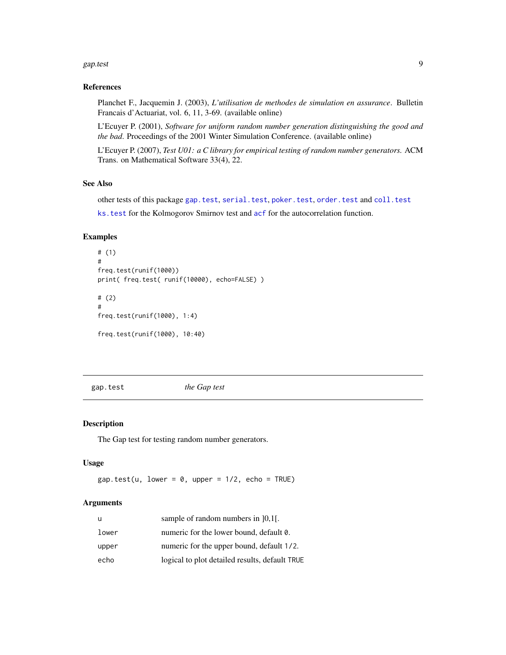#### <span id="page-8-0"></span>gap.test 9

#### References

Planchet F., Jacquemin J. (2003), *L'utilisation de methodes de simulation en assurance*. Bulletin Francais d'Actuariat, vol. 6, 11, 3-69. (available online)

L'Ecuyer P. (2001), *Software for uniform random number generation distinguishing the good and the bad*. Proceedings of the 2001 Winter Simulation Conference. (available online)

L'Ecuyer P. (2007), *Test U01: a C library for empirical testing of random number generators.* ACM Trans. on Mathematical Software 33(4), 22.

#### See Also

other tests of this package [gap.test](#page-8-1), [serial.test](#page-29-1), [poker.test](#page-13-1), [order.test](#page-11-1) and [coll.test](#page-3-1)

[ks.test](#page-0-0) for the Kolmogorov Smirnov test and [acf](#page-0-0) for the autocorrelation function.

# Examples

```
# (1)
#
freq.test(runif(1000))
print( freq.test( runif(10000), echo=FALSE) )
# (2)
#
freq.test(runif(1000), 1:4)
```
freq.test(runif(1000), 10:40)

<span id="page-8-1"></span>gap.test *the Gap test*

# Description

The Gap test for testing random number generators.

# Usage

 $gap.test(u, lower = 0, upper = 1/2, echo = TRUE)$ 

# Arguments

| u     | sample of random numbers in $]0,1[$ .          |
|-------|------------------------------------------------|
| lower | numeric for the lower bound, default 0.        |
| upper | numeric for the upper bound, default 1/2.      |
| echo  | logical to plot detailed results, default TRUE |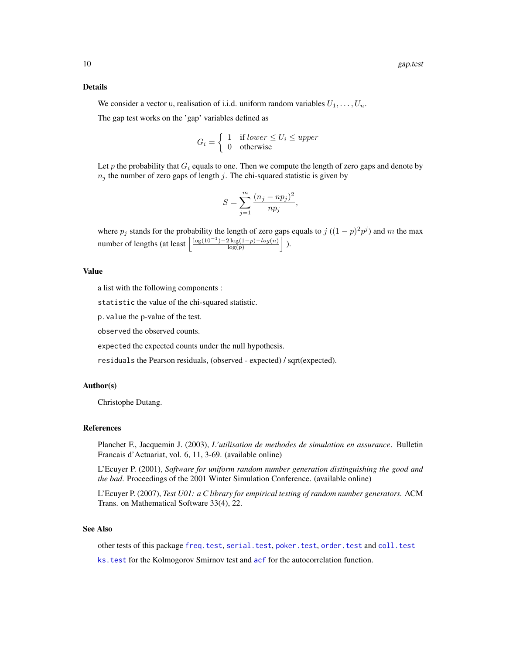#### <span id="page-9-0"></span>Details

We consider a vector u, realisation of i.i.d. uniform random variables  $U_1, \ldots, U_n$ .

The gap test works on the 'gap' variables defined as

$$
G_i = \begin{cases} 1 & \text{if lower } \le U_i \le upper \\ 0 & \text{otherwise} \end{cases}
$$

Let p the probability that  $G_i$  equals to one. Then we compute the length of zero gaps and denote by  $n_j$  the number of zero gaps of length j. The chi-squared statistic is given by

$$
S = \sum_{j=1}^{m} \frac{(n_j - np_j)^2}{np_j},
$$

where  $p_j$  stands for the probability the length of zero gaps equals to  $j((1-p)^2p^j)$  and m the max number of lengths (at least  $\frac{\log(10^{-1}) - 2\log(1-p) - \log(n)}{\log(n)}$  $\frac{2\log(1-p)-log(n)}{\log(p)}$ .

#### Value

a list with the following components :

statistic the value of the chi-squared statistic.

p.value the p-value of the test.

observed the observed counts.

expected the expected counts under the null hypothesis.

residuals the Pearson residuals, (observed - expected) / sqrt(expected).

#### Author(s)

Christophe Dutang.

#### References

Planchet F., Jacquemin J. (2003), *L'utilisation de methodes de simulation en assurance*. Bulletin Francais d'Actuariat, vol. 6, 11, 3-69. (available online)

L'Ecuyer P. (2001), *Software for uniform random number generation distinguishing the good and the bad*. Proceedings of the 2001 Winter Simulation Conference. (available online)

L'Ecuyer P. (2007), *Test U01: a C library for empirical testing of random number generators.* ACM Trans. on Mathematical Software 33(4), 22.

# See Also

other tests of this package [freq.test](#page-7-1), [serial.test](#page-29-1), [poker.test](#page-13-1), [order.test](#page-11-1) and [coll.test](#page-3-1) ks. test for the Kolmogorov Smirnov test and [acf](#page-0-0) for the autocorrelation function.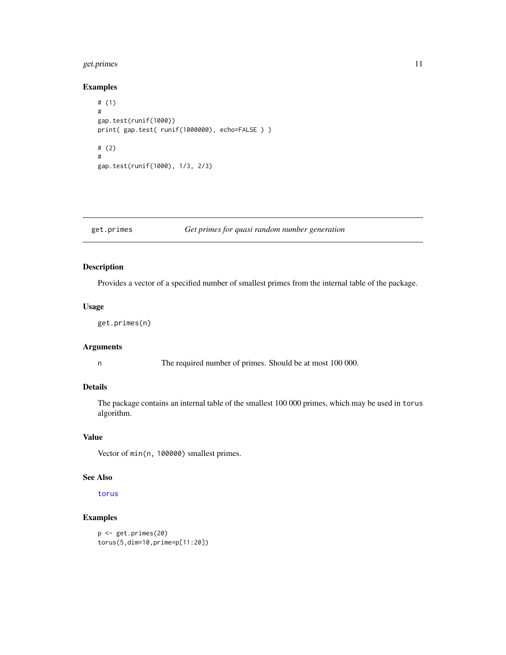# <span id="page-10-0"></span>get.primes 11

# Examples

```
# (1)
#
gap.test(runif(1000))
print( gap.test( runif(1000000), echo=FALSE ) )
# (2)
#
gap.test(runif(1000), 1/3, 2/3)
```
# get.primes *Get primes for quasi random number generation*

# Description

Provides a vector of a specified number of smallest primes from the internal table of the package.

# Usage

get.primes(n)

# Arguments

n The required number of primes. Should be at most 100 000.

# Details

The package contains an internal table of the smallest 100 000 primes, which may be used in torus algorithm.

# Value

Vector of min(n, 100000) smallest primes.

# See Also

[torus](#page-21-2)

# Examples

```
p <- get.primes(20)
torus(5,dim=10,prime=p[11:20])
```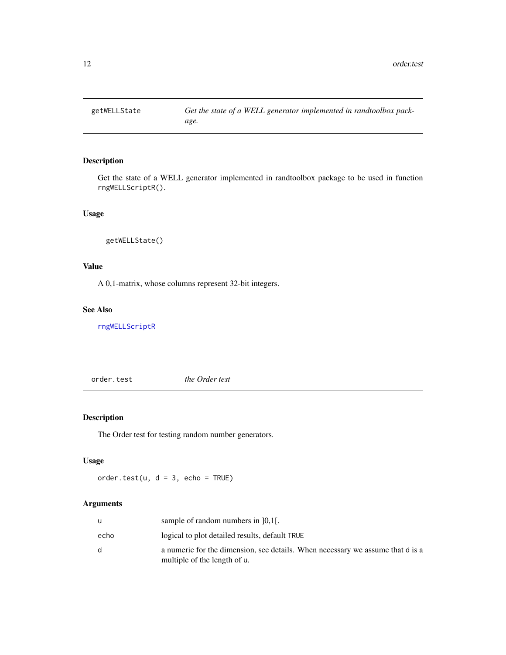<span id="page-11-2"></span><span id="page-11-0"></span>

# Description

Get the state of a WELL generator implemented in randtoolbox package to be used in function rngWELLScriptR().

# Usage

getWELLState()

# Value

A 0,1-matrix, whose columns represent 32-bit integers.

# See Also

[rngWELLScriptR](#page-25-1)

<span id="page-11-1"></span>order.test *the Order test*

# Description

The Order test for testing random number generators.

# Usage

order.test(u,  $d = 3$ , echo = TRUE)

# Arguments

|      | sample of random numbers in $[0,1]$ .                                                                          |
|------|----------------------------------------------------------------------------------------------------------------|
| echo | logical to plot detailed results, default TRUE                                                                 |
| d.   | a numeric for the dimension, see details. When necessary we assume that d is a<br>multiple of the length of u. |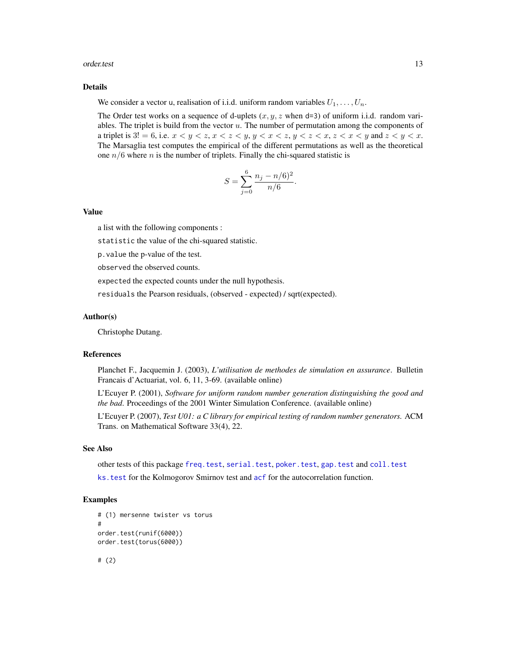#### <span id="page-12-0"></span>order.test 13

# Details

We consider a vector u, realisation of i.i.d. uniform random variables  $U_1, \ldots, U_n$ .

The Order test works on a sequence of d-uplets  $(x, y, z$  when d=3) of uniform i.i.d. random variables. The triplet is build from the vector  $u$ . The number of permutation among the components of a triplet is  $3! = 6$ , i.e.  $x < y < z$ ,  $x < z < y$ ,  $y < x < z$ ,  $y < z < x$ ,  $z < x < y$  and  $z < y < x$ . The Marsaglia test computes the empirical of the different permutations as well as the theoretical one  $n/6$  where n is the number of triplets. Finally the chi-squared statistic is

$$
S = \sum_{j=0}^{6} \frac{n_j - n/6)^2}{n/6}.
$$

#### Value

a list with the following components :

statistic the value of the chi-squared statistic.

p.value the p-value of the test.

observed the observed counts.

expected the expected counts under the null hypothesis.

residuals the Pearson residuals, (observed - expected) / sqrt(expected).

#### Author(s)

Christophe Dutang.

#### References

Planchet F., Jacquemin J. (2003), *L'utilisation de methodes de simulation en assurance*. Bulletin Francais d'Actuariat, vol. 6, 11, 3-69. (available online)

L'Ecuyer P. (2001), *Software for uniform random number generation distinguishing the good and the bad*. Proceedings of the 2001 Winter Simulation Conference. (available online)

L'Ecuyer P. (2007), *Test U01: a C library for empirical testing of random number generators.* ACM Trans. on Mathematical Software 33(4), 22.

## See Also

other tests of this package [freq.test](#page-7-1), [serial.test](#page-29-1), [poker.test](#page-13-1), [gap.test](#page-8-1) and [coll.test](#page-3-1)

ks. test for the Kolmogorov Smirnov test and [acf](#page-0-0) for the autocorrelation function.

#### Examples

```
# (1) mersenne twister vs torus
#
order.test(runif(6000))
order.test(torus(6000))
# (2)
```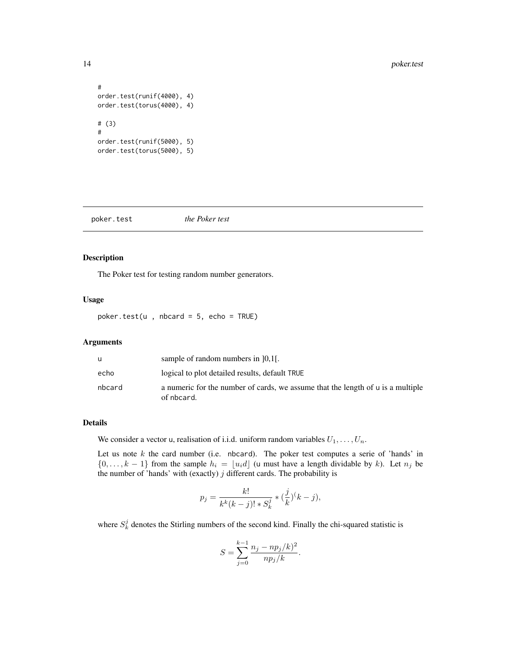```
#
order.test(runif(4000), 4)
order.test(torus(4000), 4)
# (3)
#
order.test(runif(5000), 5)
order.test(torus(5000), 5)
```
#### <span id="page-13-1"></span>poker.test *the Poker test*

#### Description

The Poker test for testing random number generators.

# Usage

 $poker.test(u, \text{nbcard} = 5, \text{echo} = TRUE)$ 

#### Arguments

| u      | sample of random numbers in $[0,1]$ .                                                         |
|--------|-----------------------------------------------------------------------------------------------|
| echo   | logical to plot detailed results, default TRUE                                                |
| nbcard | a numeric for the number of cards, we assume that the length of u is a multiple<br>of nbcard. |

# Details

We consider a vector u, realisation of i.i.d. uniform random variables  $U_1, \ldots, U_n$ .

Let us note  $k$  the card number (i.e. nbcard). The poker test computes a serie of 'hands' in  $\{0, \ldots, k-1\}$  from the sample  $h_i = \lfloor u_i d \rfloor$  (u must have a length dividable by k). Let  $n_j$  be the number of 'hands' with (exactly)  $j$  different cards. The probability is

$$
p_j = \frac{k!}{k^k(k-j)! \cdot s_k^j} \cdot \left(\frac{j}{k}\right)^j (k-j),
$$

where  $S_k^j$  denotes the Stirling numbers of the second kind. Finally the chi-squared statistic is

$$
S = \sum_{j=0}^{k-1} \frac{n_j - np_j/k)^2}{np_j/k}.
$$

<span id="page-13-0"></span>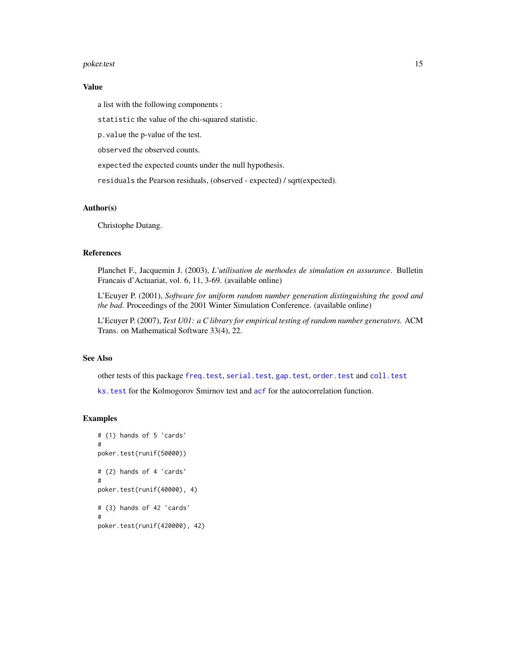#### <span id="page-14-0"></span>poker.test 15

#### Value

a list with the following components :

statistic the value of the chi-squared statistic.

p.value the p-value of the test.

observed the observed counts.

expected the expected counts under the null hypothesis.

residuals the Pearson residuals, (observed - expected) / sqrt(expected).

#### Author(s)

Christophe Dutang.

#### References

Planchet F., Jacquemin J. (2003), *L'utilisation de methodes de simulation en assurance*. Bulletin Francais d'Actuariat, vol. 6, 11, 3-69. (available online)

L'Ecuyer P. (2001), *Software for uniform random number generation distinguishing the good and the bad*. Proceedings of the 2001 Winter Simulation Conference. (available online)

L'Ecuyer P. (2007), *Test U01: a C library for empirical testing of random number generators.* ACM Trans. on Mathematical Software 33(4), 22.

#### See Also

other tests of this package [freq.test](#page-7-1), [serial.test](#page-29-1), [gap.test](#page-8-1), [order.test](#page-11-1) and [coll.test](#page-3-1)

ks. test for the Kolmogorov Smirnov test and [acf](#page-0-0) for the autocorrelation function.

# Examples

```
# (1) hands of 5 'cards'
#
poker.test(runif(50000))
# (2) hands of 4 'cards'
#
poker.test(runif(40000), 4)
# (3) hands of 42 'cards'
#
poker.test(runif(420000), 42)
```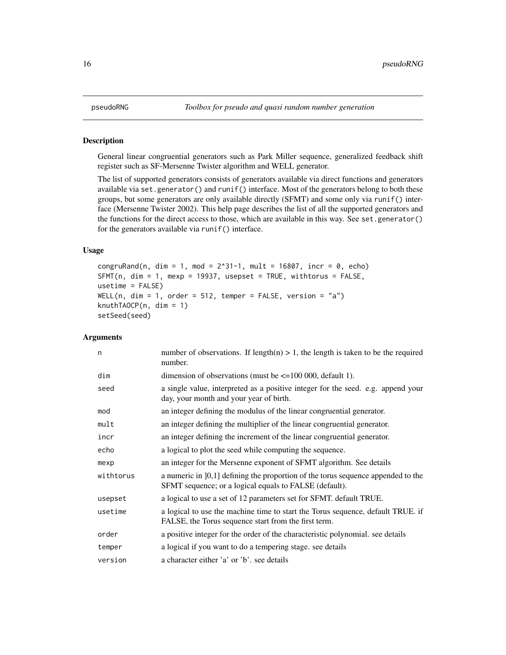#### <span id="page-15-1"></span><span id="page-15-0"></span>Description

General linear congruential generators such as Park Miller sequence, generalized feedback shift register such as SF-Mersenne Twister algorithm and WELL generator.

The list of supported generators consists of generators available via direct functions and generators available via set.generator() and runif() interface. Most of the generators belong to both these groups, but some generators are only available directly (SFMT) and some only via runif() interface (Mersenne Twister 2002). This help page describes the list of all the supported generators and the functions for the direct access to those, which are available in this way. See set.generator() for the generators available via runif() interface.

# Usage

```
congruRand(n, dim = 1, mod = 2^31-1, mult = 16807, incr = 0, echo)
SFMT(n, dim = 1, mexp = 19937, usepset = TRUE, withtorus = FALSE,
usetime = FALSE)
WELL(n, dim = 1, order = 512, temper = FALSE, version = "a")
knuthTAOCP(n, \text{dim} = 1)setSeed(seed)
```
# Arguments

| n         | number of observations. If length(n) $> 1$ , the length is taken to be the required<br>number.                                               |
|-----------|----------------------------------------------------------------------------------------------------------------------------------------------|
| dim       | dimension of observations (must be $\leq$ =100 000, default 1).                                                                              |
| seed      | a single value, interpreted as a positive integer for the seed. e.g. append your<br>day, your month and your year of birth.                  |
| mod       | an integer defining the modulus of the linear congruential generator.                                                                        |
| mult      | an integer defining the multiplier of the linear congruential generator.                                                                     |
| incr      | an integer defining the increment of the linear congruential generator.                                                                      |
| echo      | a logical to plot the seed while computing the sequence.                                                                                     |
| mexp      | an integer for the Mersenne exponent of SFMT algorithm. See details                                                                          |
| withtorus | a numeric in $[0,1]$ defining the proportion of the torus sequence appended to the<br>SFMT sequence; or a logical equals to FALSE (default). |
| usepset   | a logical to use a set of 12 parameters set for SFMT. default TRUE.                                                                          |
| usetime   | a logical to use the machine time to start the Torus sequence, default TRUE. if<br>FALSE, the Torus sequence start from the first term.      |
| order     | a positive integer for the order of the characteristic polynomial, see details                                                               |
| temper    | a logical if you want to do a tempering stage, see details                                                                                   |
| version   | a character either 'a' or 'b', see details                                                                                                   |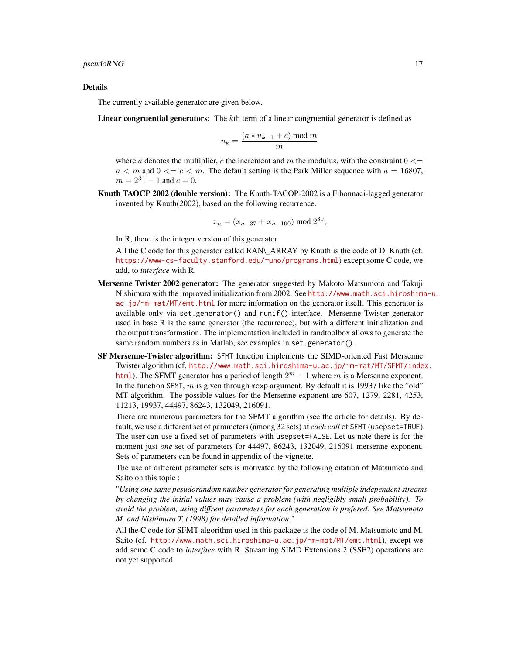#### Details

The currently available generator are given below.

Linear congruential generators: The kth term of a linear congruential generator is defined as

$$
u_k = \frac{(a * u_{k-1} + c) \bmod m}{m}
$$

where a denotes the multiplier, c the increment and m the modulus, with the constraint  $0 \leq$  $a < m$  and  $0 < c < m$ . The default setting is the Park Miller sequence with  $a = 16807$ ,  $m = 2^31 - 1$  and  $c = 0$ .

Knuth TAOCP 2002 (double version): The Knuth-TACOP-2002 is a Fibonnaci-lagged generator invented by Knuth(2002), based on the following recurrence.

$$
x_n = (x_{n-37} + x_{n-100}) \bmod 2^{30},
$$

In R, there is the integer version of this generator.

All the C code for this generator called RAN\\_ARRAY by Knuth is the code of D. Knuth (cf. <https://www-cs-faculty.stanford.edu/~uno/programs.html>) except some C code, we add, to *interface* with R.

- Mersenne Twister 2002 generator: The generator suggested by Makoto Matsumoto and Takuji Nishimura with the improved initialization from 2002. See [http://www.math.sci.hiroshima](http://www.math.sci.hiroshima-u.ac.jp/~m-mat/MT/emt.html)-u. [ac.jp/~m-mat/MT/emt.html](http://www.math.sci.hiroshima-u.ac.jp/~m-mat/MT/emt.html) for more information on the generator itself. This generator is available only via set.generator() and runif() interface. Mersenne Twister generator used in base R is the same generator (the recurrence), but with a different initialization and the output transformation. The implementation included in randtoolbox allows to generate the same random numbers as in Matlab, see examples in set.generator().
- SF Mersenne-Twister algorithm: SFMT function implements the SIMD-oriented Fast Mersenne Twister algorithm (cf. [http://www.math.sci.hiroshima-u.ac.jp/~m-mat/MT/SFMT/inde](http://www.math.sci.hiroshima-u.ac.jp/~m-mat/MT/SFMT/index.html)x. [html](http://www.math.sci.hiroshima-u.ac.jp/~m-mat/MT/SFMT/index.html)). The SFMT generator has a period of length  $2^m - 1$  where m is a Mersenne exponent. In the function SFMT,  $m$  is given through mexp argument. By default it is 19937 like the "old" MT algorithm. The possible values for the Mersenne exponent are 607, 1279, 2281, 4253, 11213, 19937, 44497, 86243, 132049, 216091.

There are numerous parameters for the SFMT algorithm (see the article for details). By default, we use a different set of parameters (among 32 sets) at *each call* of SFMT (usepset=TRUE). The user can use a fixed set of parameters with usepset=FALSE. Let us note there is for the moment just *one* set of parameters for 44497, 86243, 132049, 216091 mersenne exponent. Sets of parameters can be found in appendix of the vignette.

The use of different parameter sets is motivated by the following citation of Matsumoto and Saito on this topic :

"*Using one same pesudorandom number generator for generating multiple independent streams by changing the initial values may cause a problem (with negligibly small probability). To avoid the problem, using diffrent parameters for each generation is prefered. See Matsumoto M. and Nishimura T. (1998) for detailed information.*"

All the C code for SFMT algorithm used in this package is the code of M. Matsumoto and M. Saito (cf. <http://www.math.sci.hiroshima-u.ac.jp/~m-mat/MT/emt.html>), except we add some C code to *interface* with R. Streaming SIMD Extensions 2 (SSE2) operations are not yet supported.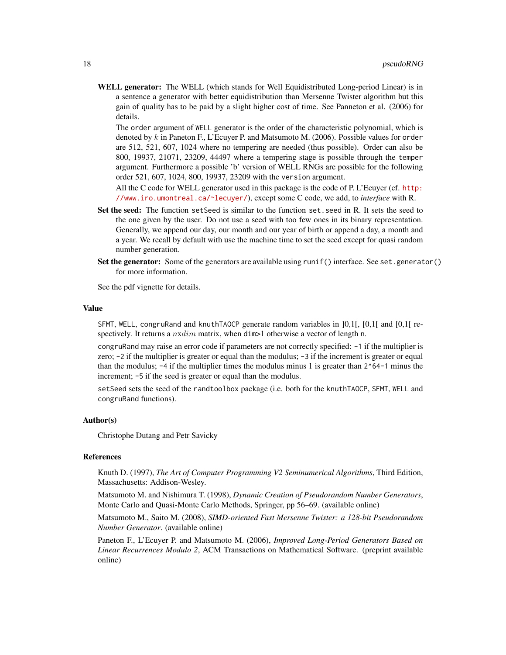WELL generator: The WELL (which stands for Well Equidistributed Long-period Linear) is in a sentence a generator with better equidistribution than Mersenne Twister algorithm but this gain of quality has to be paid by a slight higher cost of time. See Panneton et al. (2006) for details.

The order argument of WELL generator is the order of the characteristic polynomial, which is denoted by k in Paneton F., L'Ecuyer P. and Matsumoto M. (2006). Possible values for order are 512, 521, 607, 1024 where no tempering are needed (thus possible). Order can also be 800, 19937, 21071, 23209, 44497 where a tempering stage is possible through the temper argument. Furthermore a possible 'b' version of WELL RNGs are possible for the following order 521, 607, 1024, 800, 19937, 23209 with the version argument.

All the C code for WELL generator used in this package is the code of P. L'Ecuyer (cf. [http:](http://www.iro.umontreal.ca/~lecuyer/) [//www.iro.umontreal.ca/~lecuyer/](http://www.iro.umontreal.ca/~lecuyer/)), except some C code, we add, to *interface* with R.

- Set the seed: The function set Seed is similar to the function set, seed in R. It sets the seed to the one given by the user. Do not use a seed with too few ones in its binary representation. Generally, we append our day, our month and our year of birth or append a day, a month and a year. We recall by default with use the machine time to set the seed except for quasi random number generation.
- Set the generator: Some of the generators are available using runif() interface. See set, generator() for more information.

See the pdf vignette for details.

#### Value

SFMT, WELL, congruRand and knuthTAOCP generate random variables in ]0,1[, [0,1[ and [0,1[ respectively. It returns a  $nxdim$  matrix, when dim>1 otherwise a vector of length n.

congruRand may raise an error code if parameters are not correctly specified: -1 if the multiplier is zero; -2 if the multiplier is greater or equal than the modulus; -3 if the increment is greater or equal than the modulus;  $-4$  if the multiplier times the modulus minus 1 is greater than  $2^{\circ}64-1$  minus the increment; -5 if the seed is greater or equal than the modulus.

setSeed sets the seed of the randtoolbox package (i.e. both for the knuthTAOCP, SFMT, WELL and congruRand functions).

#### Author(s)

Christophe Dutang and Petr Savicky

### **References**

Knuth D. (1997), *The Art of Computer Programming V2 Seminumerical Algorithms*, Third Edition, Massachusetts: Addison-Wesley.

Matsumoto M. and Nishimura T. (1998), *Dynamic Creation of Pseudorandom Number Generators*, Monte Carlo and Quasi-Monte Carlo Methods, Springer, pp 56–69. (available online)

Matsumoto M., Saito M. (2008), *SIMD-oriented Fast Mersenne Twister: a 128-bit Pseudorandom Number Generator*. (available online)

Paneton F., L'Ecuyer P. and Matsumoto M. (2006), *Improved Long-Period Generators Based on Linear Recurrences Modulo 2*, ACM Transactions on Mathematical Software. (preprint available online)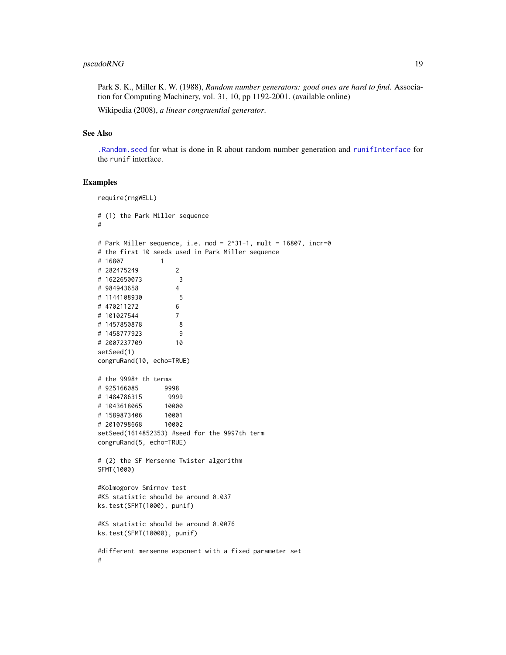# <span id="page-18-0"></span>pseudoRNG 19

Park S. K., Miller K. W. (1988), *Random number generators: good ones are hard to find*. Association for Computing Machinery, vol. 31, 10, pp 1192-2001. (available online)

Wikipedia (2008), *a linear congruential generator*.

#### See Also

[.Random.seed](#page-0-0) for what is done in R about random number generation and [runifInterface](#page-26-1) for the runif interface.

# Examples

```
require(rngWELL)
# (1) the Park Miller sequence
#
# Park Miller sequence, i.e. mod = 2^31-1, mult = 16807, incr=0
# the first 10 seeds used in Park Miller sequence
# 16807 1
# 282475249 2
# 1622650073 3
# 984943658 4
# 1144108930 5
# 470211272 6
# 101027544 7
# 1457850878 8
# 1458777923 9
# 2007237709 10
setSeed(1)
congruRand(10, echo=TRUE)
# the 9998+ th terms
# 925166085 9998
# 1484786315 9999
# 1043618065 10000
# 1589873406
# 2010798668 10002
setSeed(1614852353) #seed for the 9997th term
congruRand(5, echo=TRUE)
# (2) the SF Mersenne Twister algorithm
SFMT(1000)
#Kolmogorov Smirnov test
#KS statistic should be around 0.037
ks.test(SFMT(1000), punif)
#KS statistic should be around 0.0076
ks.test(SFMT(10000), punif)
#different mersenne exponent with a fixed parameter set
#
```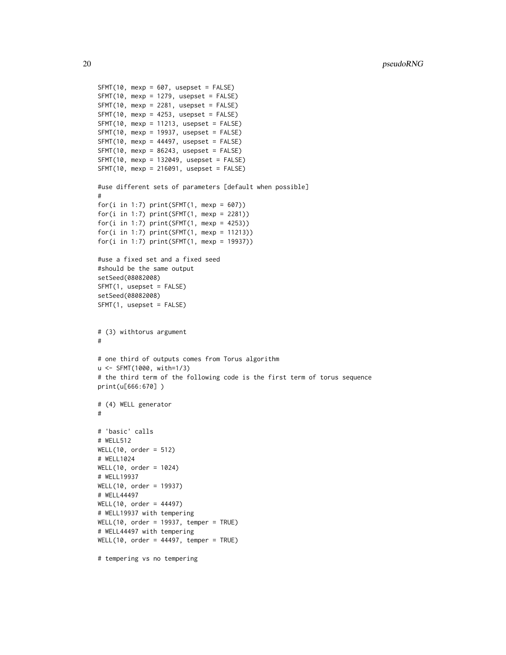```
SFMT(10, mexp = 607, usepset = FALSE)SFMT(10, mexp = 1279, usepest = FALSE)SFMT(10, mexp = 2281, usepset = FALSE)SFMT(10, mexp = 4253, usepest = FALSE)SFMT(10, mexp = 11213, usepest = FALSE)SFMT(10, mexp = 19937, usepset = FALSE)
SFMT(10, mexp = 44497, usepset = FALSE)SFMT(10, mexp = 86243, usepest = FALSE)SFMT(10, mexp = 132049, usepset = FALSE)SFMT(10, mexp = 216091, usepset = FALSE)
#use different sets of parameters [default when possible]
#
for(i in 1:7) print(SFMT(1, mexp = 607))for(i in 1:7) print(SFMT(1, mexp = 2281))for(i in 1:7) print(SFMT(1, mexp = 4253))for(i in 1:7) print(SFMT(1, mexp = 11213))
for(i in 1:7) print(SFMT(1, mexp = 19937))
#use a fixed set and a fixed seed
#should be the same output
setSeed(08082008)
SFMT(1, usepset = FALSE)
setSeed(08082008)
SFMT(1, usepset = FALSE)
# (3) withtorus argument
#
# one third of outputs comes from Torus algorithm
u <- SFMT(1000, with=1/3)
# the third term of the following code is the first term of torus sequence
print(u[666:670] )
# (4) WELL generator
#
# 'basic' calls
# WELL512
WELL(10, order = 512)
# WELL1024
WELL(10, order = 1024)
# WELL19937
WELL(10, order = 19937)
# WELL44497
WELL(10, order = 44497)
# WELL19937 with tempering
WELL(10, order = 19937, temper = TRUE)
# WELL44497 with tempering
WELL(10, order = 44497, temper = TRUE)
# tempering vs no tempering
```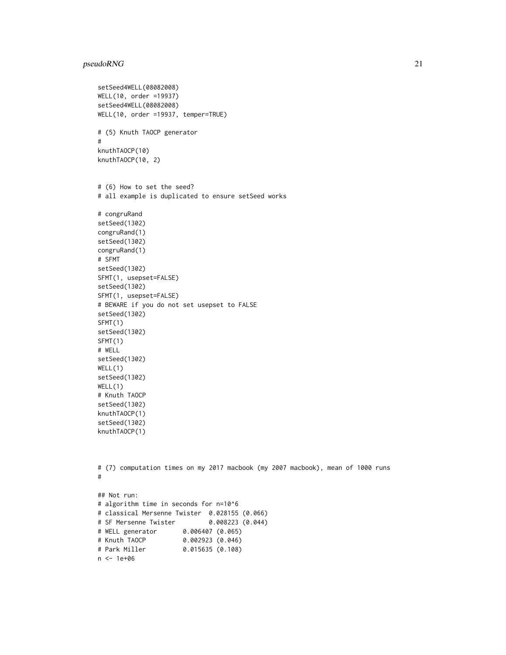# pseudoRNG 21

```
setSeed4WELL(08082008)
WELL(10, order =19937)
setSeed4WELL(08082008)
WELL(10, order =19937, temper=TRUE)
# (5) Knuth TAOCP generator
#
knuthTAOCP(10)
knuthTAOCP(10, 2)
# (6) How to set the seed?
# all example is duplicated to ensure setSeed works
# congruRand
setSeed(1302)
congruRand(1)
setSeed(1302)
congruRand(1)
# SFMT
setSeed(1302)
SFMT(1, usepset=FALSE)
setSeed(1302)
SFMT(1, usepset=FALSE)
# BEWARE if you do not set usepset to FALSE
setSeed(1302)
SFMT(1)
setSeed(1302)
SFMT(1)
# WELL
setSeed(1302)
WELL(1)
setSeed(1302)
WELL(1)
# Knuth TAOCP
setSeed(1302)
knuthTAOCP(1)
setSeed(1302)
knuthTAOCP(1)
# (7) computation times on my 2017 macbook (my 2007 macbook), mean of 1000 runs
#
## Not run:
# algorithm time in seconds for n=10^6
# classical Mersenne Twister 0.028155 (0.066)
# SF Mersenne Twister 0.008223 (0.044)
# WELL generator 0.006407 (0.065)
# Knuth TAOCP 0.002923 (0.046)
# Park Miller 0.015635 (0.108)
n <- 1e+06
```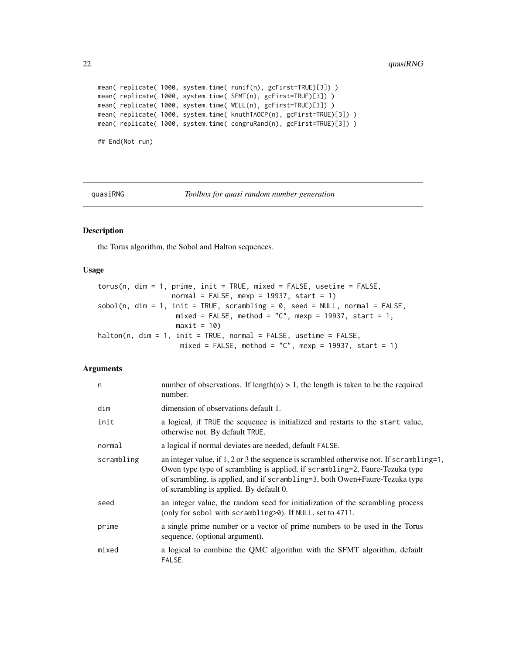```
mean( replicate( 1000, system.time( runif(n), gcFirst=TRUE)[3]) )
mean( replicate( 1000, system.time( SFMT(n), gcFirst=TRUE)[3]) )
mean( replicate( 1000, system.time( WELL(n), gcFirst=TRUE)[3]) )
mean( replicate( 1000, system.time( knuthTAOCP(n), gcFirst=TRUE)[3]) )
mean( replicate( 1000, system.time( congruRand(n), gcFirst=TRUE)[3]) )
## End(Not run)
```
<span id="page-21-1"></span>quasiRNG *Toolbox for quasi random number generation*

#### <span id="page-21-2"></span>Description

the Torus algorithm, the Sobol and Halton sequences.

# Usage

```
torus(n, dim = 1, prime, init = TRUE, mixed = FALSE, usetime = FALSE,
                 normal = FALSE, mexp = 19937, start = 1)
sobol(n, dim = 1, init = TRUE, scrambling = 0, seed = NULL, normal = FALSE,mixed = FALSE, method = "C", mexp = 19937, start = 1,
                  maxit = 10halton(n, dim = 1, init = TRUE, normal = FALSE, usetime = FALSE,
                   mixed = FALSE, method = "C", new = 19937, start = 1)
```
# Arguments

| n          | number of observations. If length(n) $> 1$ , the length is taken to be the required<br>number.                                                                                                                                                                                                    |
|------------|---------------------------------------------------------------------------------------------------------------------------------------------------------------------------------------------------------------------------------------------------------------------------------------------------|
| dim        | dimension of observations default 1.                                                                                                                                                                                                                                                              |
| init       | a logical, if TRUE the sequence is initialized and restarts to the start value,<br>otherwise not. By default TRUE.                                                                                                                                                                                |
| normal     | a logical if normal deviates are needed, default FALSE.                                                                                                                                                                                                                                           |
| scrambling | an integer value, if 1, 2 or 3 the sequence is scrambled otherwise not. If scrambling=1,<br>Owen type type of scrambling is applied, if scrambling=2, Faure-Tezuka type<br>of scrambling, is applied, and if scrambling=3, both Owen+Faure-Tezuka type<br>of scrambling is applied. By default 0. |
| seed       | an integer value, the random seed for initialization of the scrambling process<br>(only for sobol with scrambling > 0). If NULL, set to 4711.                                                                                                                                                     |
| prime      | a single prime number or a vector of prime numbers to be used in the Torus<br>sequence. (optional argument).                                                                                                                                                                                      |
| mixed      | a logical to combine the QMC algorithm with the SFMT algorithm, default<br>FALSE.                                                                                                                                                                                                                 |

<span id="page-21-0"></span>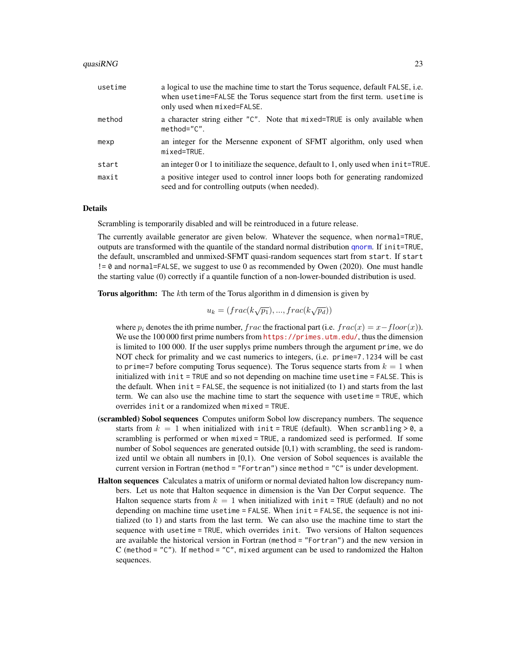#### <span id="page-22-0"></span>quasiRNG  $\sim$  23

| usetime | a logical to use the machine time to start the Torus sequence, default FALSE, i.e.<br>when usetime=FALSE the Torus sequence start from the first term, usetime is<br>only used when mixed=FALSE. |
|---------|--------------------------------------------------------------------------------------------------------------------------------------------------------------------------------------------------|
| method  | a character string either "C". Note that mixed=TRUE is only available when<br>$method="C".$                                                                                                      |
| mexp    | an integer for the Mersenne exponent of SFMT algorithm, only used when<br>mixed=TRUE.                                                                                                            |
| start   | an integer 0 or 1 to initiliaze the sequence, default to 1, only used when $init$ =TRUE.                                                                                                         |
| maxit   | a positive integer used to control inner loops both for generating randomized<br>seed and for controlling outputs (when needed).                                                                 |

#### Details

Scrambling is temporarily disabled and will be reintroduced in a future release.

The currently available generator are given below. Whatever the sequence, when normal=TRUE, outputs are transformed with the quantile of the standard normal distribution [qnorm](#page-0-0). If init=TRUE, the default, unscrambled and unmixed-SFMT quasi-random sequences start from start. If start != 0 and normal=FALSE, we suggest to use 0 as recommended by Owen (2020). One must handle the starting value (0) correctly if a quantile function of a non-lower-bounded distribution is used.

**Torus algorithm:** The kth term of the Torus algorithm in d dimension is given by

$$
u_k = (frac(k\sqrt{p_1}), ..., frac(k\sqrt{p_d}))
$$

where  $p_i$  denotes the ith prime number, frac the fractional part (i.e.  $frac(x) = x - floor(x)$ ). We use the 100 000 first prime numbers from <https://primes.utm.edu/>, thus the dimension is limited to 100 000. If the user supplys prime numbers through the argument prime, we do NOT check for primality and we cast numerics to integers, (i.e. prime=7.1234 will be cast to prime=7 before computing Torus sequence). The Torus sequence starts from  $k = 1$  when initialized with  $init = TRUE$  and so not depending on machine time usetime = FALSE. This is the default. When  $init = FALSE$ , the sequence is not initialized (to 1) and starts from the last term. We can also use the machine time to start the sequence with usetime = TRUE, which overrides init or a randomized when mixed = TRUE.

- (scrambled) Sobol sequences Computes uniform Sobol low discrepancy numbers. The sequence starts from  $k = 1$  when initialized with init = TRUE (default). When scrambling > 0, a scrambling is performed or when mixed = TRUE, a randomized seed is performed. If some number of Sobol sequences are generated outside [0,1) with scrambling, the seed is randomized until we obtain all numbers in [0,1). One version of Sobol sequences is available the current version in Fortran (method = "Fortran") since method = "C" is under development.
- Halton sequences Calculates a matrix of uniform or normal deviated halton low discrepancy numbers. Let us note that Halton sequence in dimension is the Van Der Corput sequence. The Halton sequence starts from  $k = 1$  when initialized with init = TRUE (default) and no not depending on machine time usetime = FALSE. When init = FALSE, the sequence is not initialized (to 1) and starts from the last term. We can also use the machine time to start the sequence with usetime = TRUE, which overrides init. Two versions of Halton sequences are available the historical version in Fortran (method = "Fortran") and the new version in C (method = "C"). If method = "C", mixed argument can be used to randomized the Halton sequences.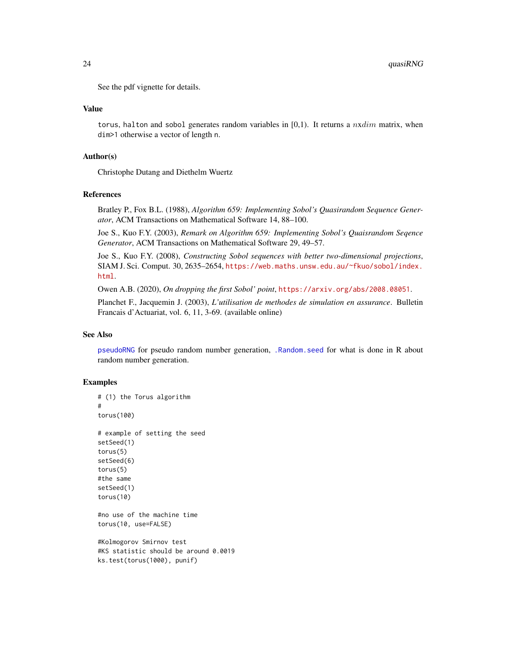<span id="page-23-0"></span>See the pdf vignette for details.

#### Value

torus, halton and sobol generates random variables in  $[0,1)$ . It returns a nxdim matrix, when dim>1 otherwise a vector of length n.

#### Author(s)

Christophe Dutang and Diethelm Wuertz

#### References

Bratley P., Fox B.L. (1988), *Algorithm 659: Implementing Sobol's Quasirandom Sequence Generator*, ACM Transactions on Mathematical Software 14, 88–100.

Joe S., Kuo F.Y. (2003), *Remark on Algorithm 659: Implementing Sobol's Quaisrandom Seqence Generator*, ACM Transactions on Mathematical Software 29, 49–57.

Joe S., Kuo F.Y. (2008), *Constructing Sobol sequences with better two-dimensional projections*, SIAM J. Sci. Comput. 30, 2635–2654, [https://web.maths.unsw.edu.au/~fkuo/sobol/index.](https://web.maths.unsw.edu.au/~fkuo/sobol/index.html) [html](https://web.maths.unsw.edu.au/~fkuo/sobol/index.html).

Owen A.B. (2020), *On dropping the first Sobol' point*, <https://arxiv.org/abs/2008.08051>.

Planchet F., Jacquemin J. (2003), *L'utilisation de methodes de simulation en assurance*. Bulletin Francais d'Actuariat, vol. 6, 11, 3-69. (available online)

### See Also

[pseudoRNG](#page-15-1) for pseudo random number generation, [.Random.seed](#page-0-0) for what is done in R about random number generation.

#### Examples

```
# (1) the Torus algorithm
#
torus(100)
# example of setting the seed
setSeed(1)
torus(5)
setSeed(6)
torus(5)
#the same
setSeed(1)
torus(10)
#no use of the machine time
torus(10, use=FALSE)
#Kolmogorov Smirnov test
```
#KS statistic should be around 0.0019 ks.test(torus(1000), punif)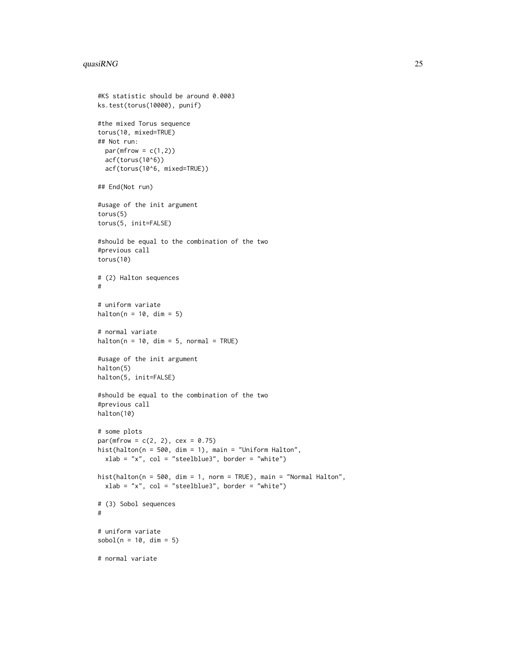#### quasiRNG  $\sim$  25

```
#KS statistic should be around 0.0003
ks.test(torus(10000), punif)
#the mixed Torus sequence
torus(10, mixed=TRUE)
## Not run:
 par(mfrow = c(1,2))acf(torus(10^6))
  acf(torus(10^6, mixed=TRUE))
## End(Not run)
#usage of the init argument
torus(5)
torus(5, init=FALSE)
#should be equal to the combination of the two
#previous call
torus(10)
# (2) Halton sequences
#
# uniform variate
halton(n = 10, dim = 5)
# normal variate
halton(n = 10, dim = 5, normal = TRUE)#usage of the init argument
halton(5)
halton(5, init=FALSE)
#should be equal to the combination of the two
#previous call
halton(10)
# some plots
par(mfrow = c(2, 2), cex = 0.75)hist(halton(n = 500, dim = 1), main = "Uniform Halton",
  xlab = "x", col = "steelblue3", border = "white")
hist(halton(n = 500, dim = 1, norm = TRUE), main = "Normal Halton",
  xlab = "x", col = "steelblue3", border = "white")
# (3) Sobol sequences
#
# uniform variate
sobol(n = 10, dim = 5)# normal variate
```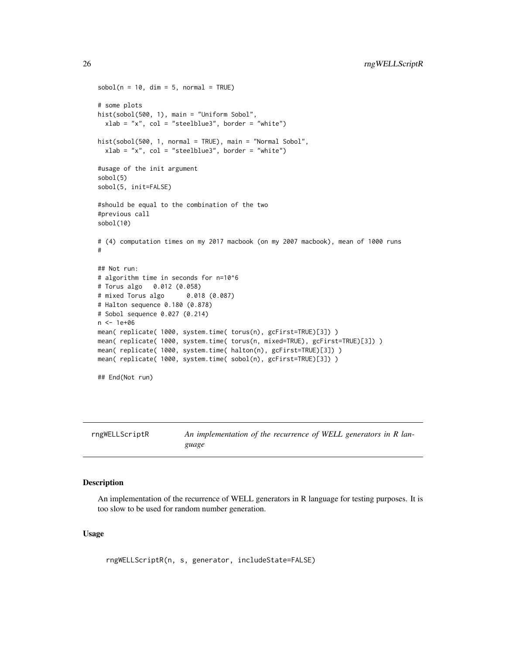```
sobol(n = 10, dim = 5, normal = TRUE)# some plots
hist(sobol(500, 1), main = "Uniform Sobol",
  xlab = "x", col = "steelblue3", border = "white")
hist(sobol(500, 1, normal = TRUE), main = "Normal Sobol",
  xlab = "x", col = "steelblue3", border = "white")#usage of the init argument
sobol(5)
sobol(5, init=FALSE)
#should be equal to the combination of the two
#previous call
sobol(10)
# (4) computation times on my 2017 macbook (on my 2007 macbook), mean of 1000 runs
#
## Not run:
# algorithm time in seconds for n=10^6
# Torus algo 0.012 (0.058)
# mixed Torus algo 0.018 (0.087)
# Halton sequence 0.180 (0.878)
# Sobol sequence 0.027 (0.214)
n <- 1e+06
mean( replicate( 1000, system.time( torus(n), gcFirst=TRUE)[3]) )
mean( replicate( 1000, system.time( torus(n, mixed=TRUE), gcFirst=TRUE)[3]) )
mean( replicate( 1000, system.time( halton(n), gcFirst=TRUE)[3]) )
mean( replicate( 1000, system.time( sobol(n), gcFirst=TRUE)[3]) )
## End(Not run)
```
<span id="page-25-1"></span>rngWELLScriptR *An implementation of the recurrence of WELL generators in R language*

# Description

An implementation of the recurrence of WELL generators in R language for testing purposes. It is too slow to be used for random number generation.

#### Usage

rngWELLScriptR(n, s, generator, includeState=FALSE)

<span id="page-25-0"></span>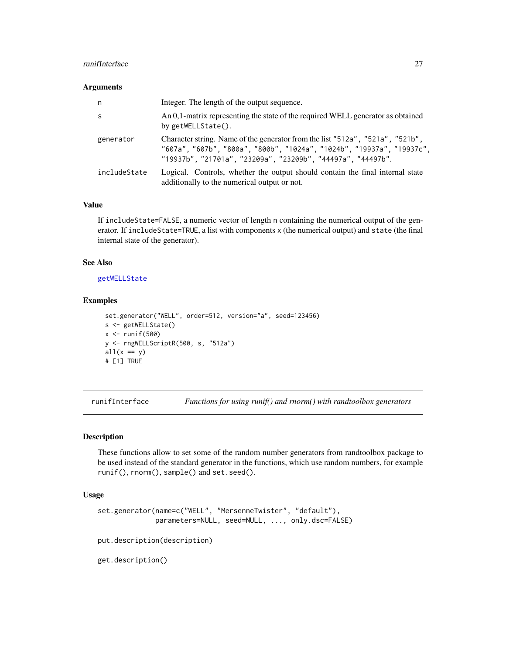# <span id="page-26-0"></span>runifInterface 27

#### Arguments

| n            | Integer. The length of the output sequence.                                                                                                                                                                           |
|--------------|-----------------------------------------------------------------------------------------------------------------------------------------------------------------------------------------------------------------------|
| S            | An 0,1-matrix representing the state of the required WELL generator as obtained<br>by getWELLState().                                                                                                                 |
| generator    | Character string. Name of the generator from the list "512a", "521a", "521b",<br>"607a", "607b", "800a", "800b", "1024a", "1024b", "19937a", "19937c",<br>"19937b", "21701a", "23209a", "23209b", "44497a", "44497b". |
| includeState | Logical. Controls, whether the output should contain the final internal state<br>additionally to the numerical output or not.                                                                                         |

# Value

If includeState=FALSE, a numeric vector of length n containing the numerical output of the generator. If includeState=TRUE, a list with components x (the numerical output) and state (the final internal state of the generator).

#### See Also

[getWELLState](#page-11-2)

#### Examples

```
set.generator("WELL", order=512, version="a", seed=123456)
s <- getWELLState()
x \leftarrow runif(500)y <- rngWELLScriptR(500, s, "512a")
all(x == y)# [1] TRUE
```
<span id="page-26-1"></span>runifInterface *Functions for using runif() and rnorm() with randtoolbox generators*

# Description

These functions allow to set some of the random number generators from randtoolbox package to be used instead of the standard generator in the functions, which use random numbers, for example runif(), rnorm(), sample() and set.seed().

#### Usage

```
set.generator(name=c("WELL", "MersenneTwister", "default"),
              parameters=NULL, seed=NULL, ..., only.dsc=FALSE)
put.description(description)
get.description()
```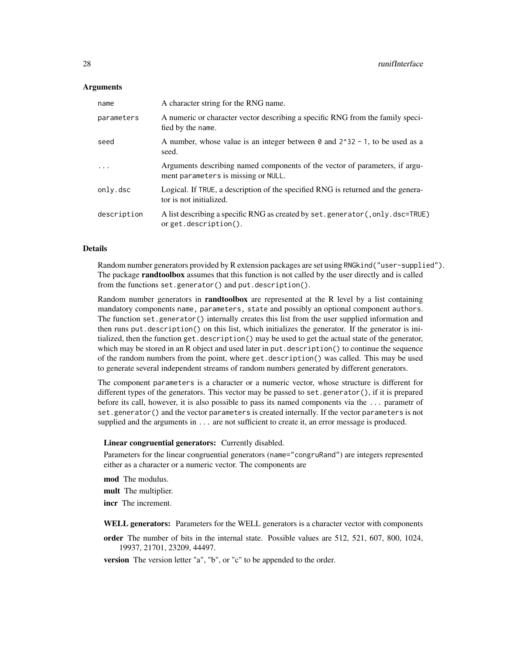#### **Arguments**

| name        | A character string for the RNG name.                                                                               |
|-------------|--------------------------------------------------------------------------------------------------------------------|
| parameters  | A numeric or character vector describing a specific RNG from the family speci-<br>fied by the name.                |
| seed        | A number, whose value is an integer between $\theta$ and $2^3$ 32 - 1, to be used as a<br>seed.                    |
| $\ddots$ .  | Arguments describing named components of the vector of parameters, if argu-<br>ment parameters is missing or NULL. |
| only.dsc    | Logical. If TRUE, a description of the specified RNG is returned and the genera-<br>tor is not initialized.        |
| description | A list describing a specific RNG as created by set. generator (, only. dsc=TRUE)<br>orget.description().           |

#### Details

Random number generators provided by R extension packages are set using RNGkind("user-supplied"). The package **randtoolbox** assumes that this function is not called by the user directly and is called from the functions set.generator() and put.description().

Random number generators in **randtoolbox** are represented at the R level by a list containing mandatory components name, parameters, state and possibly an optional component authors. The function set.generator() internally creates this list from the user supplied information and then runs put.description() on this list, which initializes the generator. If the generator is initialized, then the function get.description() may be used to get the actual state of the generator, which may be stored in an R object and used later in put. description() to continue the sequence of the random numbers from the point, where get.description() was called. This may be used to generate several independent streams of random numbers generated by different generators.

The component parameters is a character or a numeric vector, whose structure is different for different types of the generators. This vector may be passed to set.generator(), if it is prepared before its call, however, it is also possible to pass its named components via the ... parametr of set.generator() and the vector parameters is created internally. If the vector parameters is not supplied and the arguments in . . . are not sufficient to create it, an error message is produced.

#### Linear congruential generators: Currently disabled.

Parameters for the linear congruential generators (name="congruRand") are integers represented either as a character or a numeric vector. The components are

mod The modulus.

mult The multiplier.

incr The increment.

WELL generators: Parameters for the WELL generators is a character vector with components

order The number of bits in the internal state. Possible values are 512, 521, 607, 800, 1024, 19937, 21701, 23209, 44497.

version The version letter "a", "b", or "c" to be appended to the order.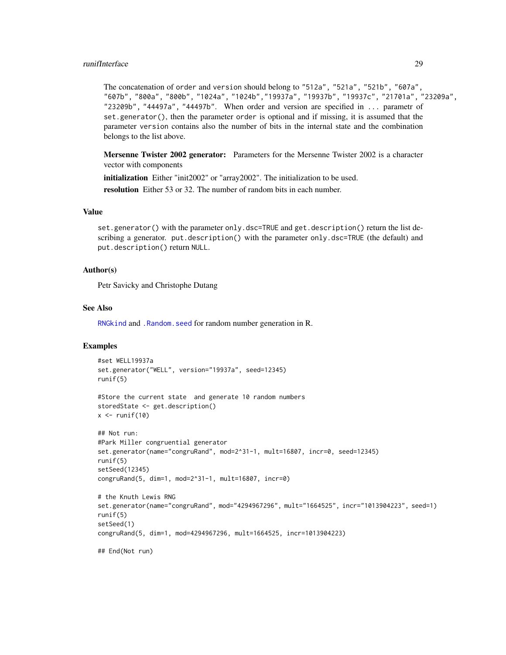# <span id="page-28-0"></span>runifInterface 29

The concatenation of order and version should belong to "512a", "521a", "521b", "607a", "607b", "800a", "800b", "1024a", "1024b","19937a", "19937b", "19937c", "21701a", "23209a", "23209b", "44497a", "44497b". When order and version are specified in ... parametr of set.generator(), then the parameter order is optional and if missing, it is assumed that the parameter version contains also the number of bits in the internal state and the combination belongs to the list above.

Mersenne Twister 2002 generator: Parameters for the Mersenne Twister 2002 is a character vector with components

initialization Either "init2002" or "array2002". The initialization to be used.

resolution Either 53 or 32. The number of random bits in each number.

#### Value

set.generator() with the parameter only.dsc=TRUE and get.description() return the list describing a generator. put.description() with the parameter only.dsc=TRUE (the default) and put.description() return NULL.

# Author(s)

Petr Savicky and Christophe Dutang

#### See Also

[RNGkind](#page-0-0) and [.Random.seed](#page-0-0) for random number generation in R.

### Examples

```
#set WELL19937a
set.generator("WELL", version="19937a", seed=12345)
runif(5)
```

```
#Store the current state and generate 10 random numbers
storedState <- get.description()
x \leftarrow runif(10)
```

```
## Not run:
#Park Miller congruential generator
set.generator(name="congruRand", mod=2^31-1, mult=16807, incr=0, seed=12345)
runif(5)
setSeed(12345)
congruRand(5, dim=1, mod=2^31-1, mult=16807, incr=0)
# the Knuth Lewis RNG
```

```
set.generator(name="congruRand", mod="4294967296", mult="1664525", incr="1013904223", seed=1)
runif(5)
setSeed(1)
```

```
congruRand(5, dim=1, mod=4294967296, mult=1664525, incr=1013904223)
```
## End(Not run)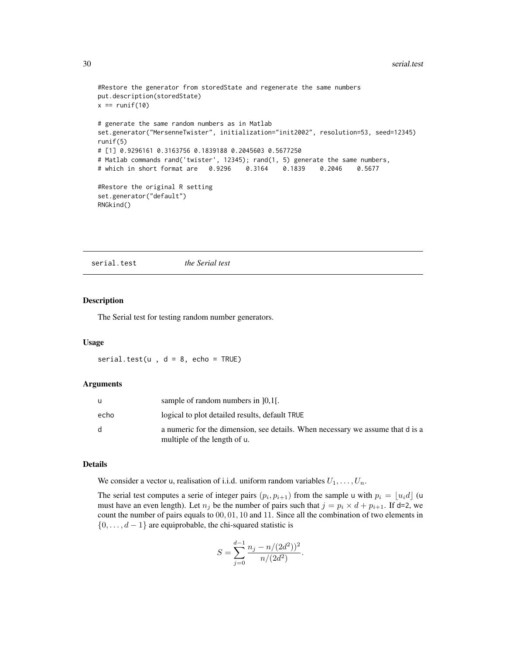```
#Restore the generator from storedState and regenerate the same numbers
put.description(storedState)
x == runif(10)# generate the same random numbers as in Matlab
set.generator("MersenneTwister", initialization="init2002", resolution=53, seed=12345)
runif(5)
# [1] 0.9296161 0.3163756 0.1839188 0.2045603 0.5677250
# Matlab commands rand('twister', 12345); rand(1, 5) generate the same numbers,
# which in short format are 0.9296 0.3164 0.1839 0.2046 0.5677
#Restore the original R setting
set.generator("default")
RNGkind()
```
<span id="page-29-1"></span>serial.test *the Serial test*

#### Description

The Serial test for testing random number generators.

#### Usage

serial.test( $u$ ,  $d = 8$ , echo = TRUE)

#### Arguments

| u            | sample of random numbers in $[0,1]$ .                                                                          |
|--------------|----------------------------------------------------------------------------------------------------------------|
| echo         | logical to plot detailed results, default TRUE                                                                 |
| <sub>d</sub> | a numeric for the dimension, see details. When necessary we assume that d is a<br>multiple of the length of u. |

#### Details

We consider a vector u, realisation of i.i.d. uniform random variables  $U_1, \ldots, U_n$ .

The serial test computes a serie of integer pairs  $(p_i, p_{i+1})$  from the sample u with  $p_i = \lfloor u_i d \rfloor$  (u must have an even length). Let  $n_j$  be the number of pairs such that  $j = p_i \times d + p_{i+1}$ . If d=2, we count the number of pairs equals to  $00, 01, 10$  and 11. Since all the combination of two elements in  $\{0, \ldots, d-1\}$  are equiprobable, the chi-squared statistic is

$$
S = \sum_{j=0}^{d-1} \frac{n_j - n/(2d^2))^2}{n/(2d^2)}.
$$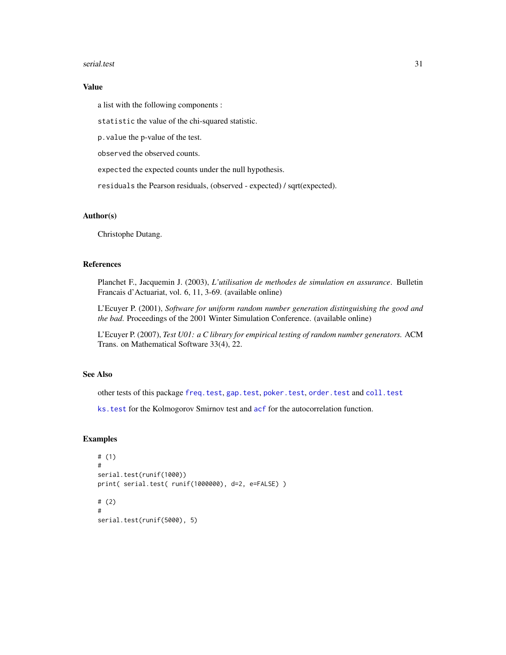#### <span id="page-30-0"></span>serial.test 31

# Value

a list with the following components :

statistic the value of the chi-squared statistic.

p.value the p-value of the test.

observed the observed counts.

expected the expected counts under the null hypothesis.

residuals the Pearson residuals, (observed - expected) / sqrt(expected).

#### Author(s)

Christophe Dutang.

#### References

Planchet F., Jacquemin J. (2003), *L'utilisation de methodes de simulation en assurance*. Bulletin Francais d'Actuariat, vol. 6, 11, 3-69. (available online)

L'Ecuyer P. (2001), *Software for uniform random number generation distinguishing the good and the bad*. Proceedings of the 2001 Winter Simulation Conference. (available online)

L'Ecuyer P. (2007), *Test U01: a C library for empirical testing of random number generators.* ACM Trans. on Mathematical Software 33(4), 22.

# See Also

other tests of this package [freq.test](#page-7-1), [gap.test](#page-8-1), [poker.test](#page-13-1), [order.test](#page-11-1) and [coll.test](#page-3-1)

ks. test for the Kolmogorov Smirnov test and [acf](#page-0-0) for the autocorrelation function.

# Examples

```
# (1)
#
serial.test(runif(1000))
print( serial.test( runif(1000000), d=2, e=FALSE) )
# (2)
#
serial.test(runif(5000), 5)
```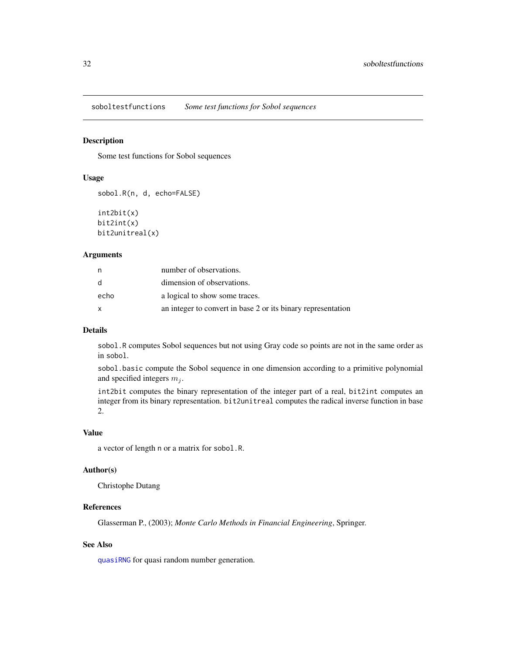<span id="page-31-0"></span>soboltestfunctions *Some test functions for Sobol sequences*

# Description

Some test functions for Sobol sequences

# Usage

```
sobol.R(n, d, echo=FALSE)
```
int2bit(x) bit2int(x) bit2unitreal(x)

#### Arguments

| n    | number of observations.                                      |
|------|--------------------------------------------------------------|
| d.   | dimension of observations.                                   |
| echo | a logical to show some traces.                               |
|      | an integer to convert in base 2 or its binary representation |

# Details

sobol.R computes Sobol sequences but not using Gray code so points are not in the same order as in sobol.

sobol.basic compute the Sobol sequence in one dimension according to a primitive polynomial and specified integers  $m_i$ .

int2bit computes the binary representation of the integer part of a real, bit2int computes an integer from its binary representation. bit2unitreal computes the radical inverse function in base 2.

# Value

a vector of length n or a matrix for sobol.R.

## Author(s)

Christophe Dutang

# References

Glasserman P., (2003); *Monte Carlo Methods in Financial Engineering*, Springer.

# See Also

[quasiRNG](#page-21-1) for quasi random number generation.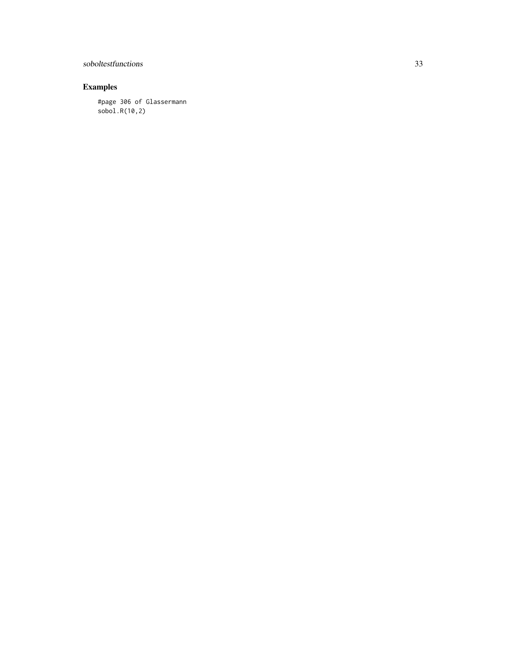# soboltestfunctions 33

# Examples

#page 306 of Glassermann sobol.R(10,2)